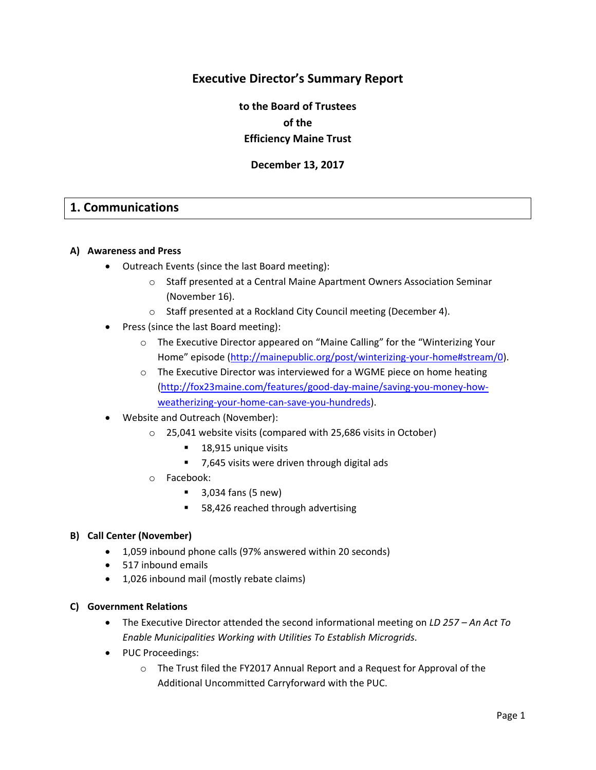# **Executive Director's Summary Report**

**to the Board of Trustees of the Efficiency Maine Trust**

**December 13, 2017**

## **1. Communications**

#### **A) Awareness and Press**

- Outreach Events (since the last Board meeting):
	- o Staff presented at a Central Maine Apartment Owners Association Seminar (November 16).
	- o Staff presented at a Rockland City Council meeting (December 4).
- Press (since the last Board meeting):
	- o The Executive Director appeared on "Maine Calling" for the "Winterizing Your Home" episode ([http://mainepublic.org/post/winterizing-your-home#stream/0\)](http://mainepublic.org/post/winterizing-your-home#stream/0).
	- o The Executive Director was interviewed for a WGME piece on home heating [\(http://fox23maine.com/features/good-day-maine/saving-you-money-how](http://fox23maine.com/features/good-day-maine/saving-you-money-how-weatherizing-your-home-can-save-you-hundreds)[weatherizing-your-home-can-save-you-hundreds\)](http://fox23maine.com/features/good-day-maine/saving-you-money-how-weatherizing-your-home-can-save-you-hundreds).
- Website and Outreach (November):
	- o 25,041 website visits (compared with 25,686 visits in October)
		- 18,915 unique visits
		- 7,645 visits were driven through digital ads
	- o Facebook:
		- 3,034 fans (5 new)
		- 58,426 reached through advertising

#### **B) Call Center (November)**

- 1,059 inbound phone calls (97% answered within 20 seconds)
- 517 inbound emails
- 1,026 inbound mail (mostly rebate claims)

#### **C) Government Relations**

- The Executive Director attended the second informational meeting on *LD 257 – An Act To Enable Municipalities Working with Utilities To Establish Microgrids.*
- PUC Proceedings:
	- o The Trust filed the FY2017 Annual Report and a Request for Approval of the Additional Uncommitted Carryforward with the PUC.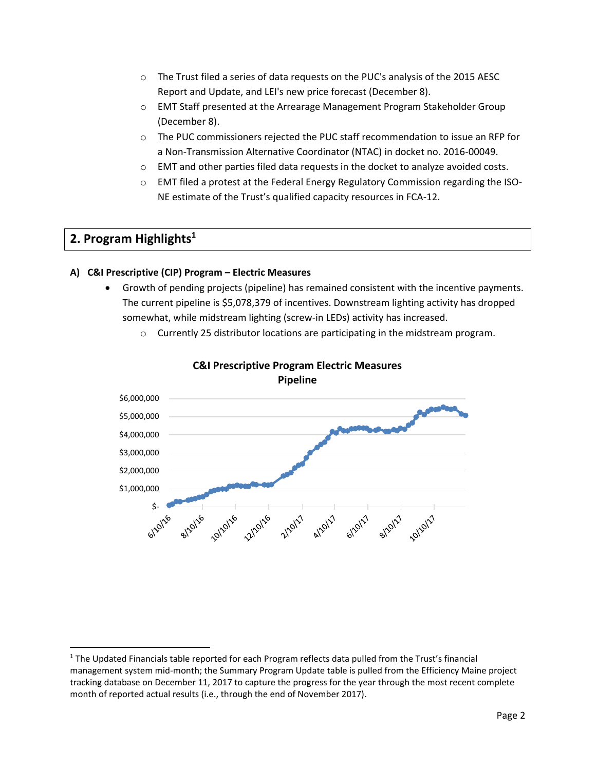- $\circ$  The Trust filed a series of data requests on the PUC's analysis of the 2015 AESC Report and Update, and LEI's new price forecast (December 8).
- o EMT Staff presented at the Arrearage Management Program Stakeholder Group (December 8).
- o The PUC commissioners rejected the PUC staff recommendation to issue an RFP for a Non-Transmission Alternative Coordinator (NTAC) in docket no. 2016-00049.
- $\circ$  EMT and other parties filed data requests in the docket to analyze avoided costs.
- o EMT filed a protest at the Federal Energy Regulatory Commission regarding the ISO-NE estimate of the Trust's qualified capacity resources in FCA-12.

# **2. Program Highlights<sup>1</sup>**

 $\overline{\phantom{a}}$ 

## **A) C&I Prescriptive (CIP) Program – Electric Measures**

• Growth of pending projects (pipeline) has remained consistent with the incentive payments. The current pipeline is \$5,078,379 of incentives. Downstream lighting activity has dropped somewhat, while midstream lighting (screw-in LEDs) activity has increased.





**C&I Prescriptive Program Electric Measures Pipeline**

<sup>&</sup>lt;sup>1</sup> The Updated Financials table reported for each Program reflects data pulled from the Trust's financial management system mid-month; the Summary Program Update table is pulled from the Efficiency Maine project tracking database on December 11, 2017 to capture the progress for the year through the most recent complete month of reported actual results (i.e., through the end of November 2017).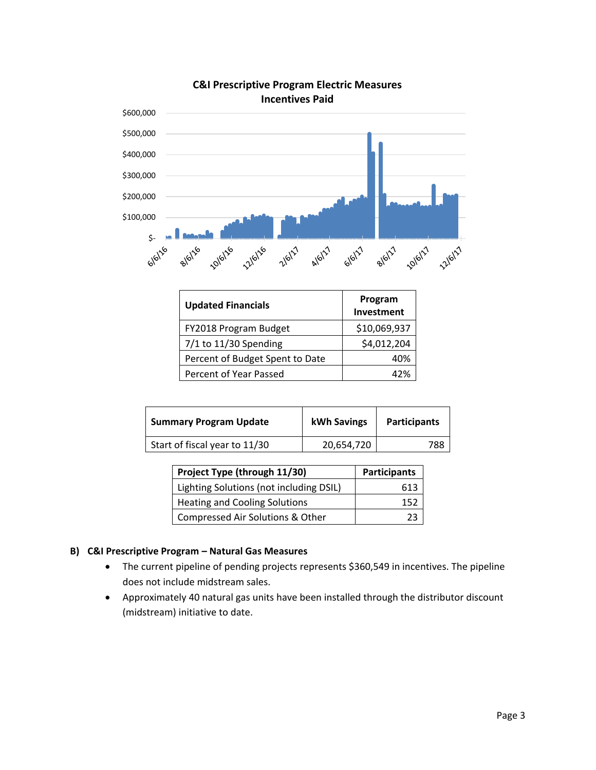

## **C&I Prescriptive Program Electric Measures Incentives Paid**

| <b>Updated Financials</b>       | Program<br>Investment |
|---------------------------------|-----------------------|
| FY2018 Program Budget           | \$10,069,937          |
| $7/1$ to 11/30 Spending         | \$4,012,204           |
| Percent of Budget Spent to Date | 40%                   |
| Percent of Year Passed          | 47%                   |

| <b>Summary Program Update</b> | kWh Savings | <b>Participants</b> |
|-------------------------------|-------------|---------------------|
| Start of fiscal year to 11/30 | 20,654,720  | 788                 |

| Project Type (through 11/30)            | <b>Participants</b> |
|-----------------------------------------|---------------------|
| Lighting Solutions (not including DSIL) | 613                 |
| <b>Heating and Cooling Solutions</b>    | 152                 |
| Compressed Air Solutions & Other        |                     |

## **B) C&I Prescriptive Program – Natural Gas Measures**

- The current pipeline of pending projects represents \$360,549 in incentives. The pipeline does not include midstream sales.
- Approximately 40 natural gas units have been installed through the distributor discount (midstream) initiative to date.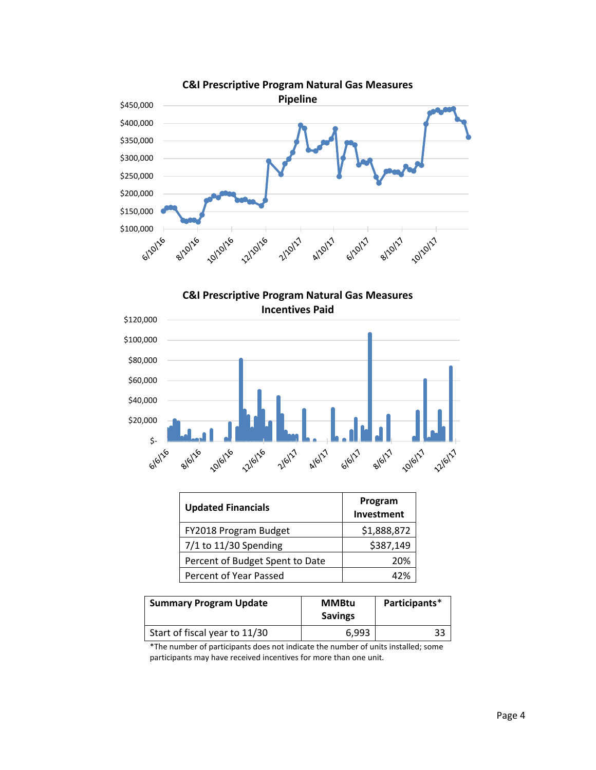





| <b>Updated Financials</b>       | Program<br>Investment |  |
|---------------------------------|-----------------------|--|
| FY2018 Program Budget           | \$1,888,872           |  |
| 7/1 to 11/30 Spending           | \$387,149             |  |
| Percent of Budget Spent to Date | 20%                   |  |
| Percent of Year Passed          | 47%                   |  |

| <b>Summary Program Update</b> | <b>MMBtu</b><br><b>Savings</b> | Participants* |
|-------------------------------|--------------------------------|---------------|
| Start of fiscal year to 11/30 | 6.993                          | 33            |

\*The number of participants does not indicate the number of units installed; some participants may have received incentives for more than one unit.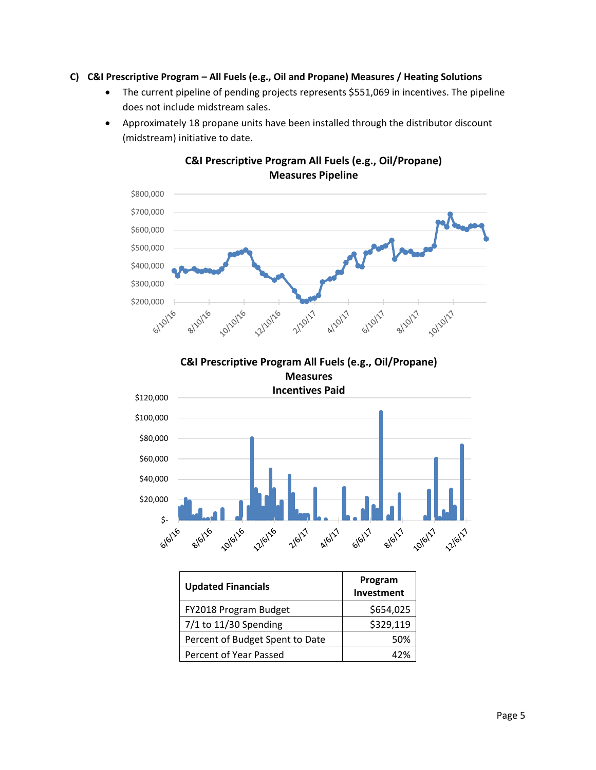### **C) C&I Prescriptive Program – All Fuels (e.g., Oil and Propane) Measures / Heating Solutions**

- The current pipeline of pending projects represents \$551,069 in incentives. The pipeline does not include midstream sales.
- Approximately 18 propane units have been installed through the distributor discount (midstream) initiative to date.



## **C&I Prescriptive Program All Fuels (e.g., Oil/Propane) Measures Pipeline**





| <b>Updated Financials</b>       | Program<br>Investment |
|---------------------------------|-----------------------|
| FY2018 Program Budget           | \$654,025             |
| $7/1$ to 11/30 Spending         | \$329,119             |
| Percent of Budget Spent to Date | 50%                   |
| Percent of Year Passed          | 47%                   |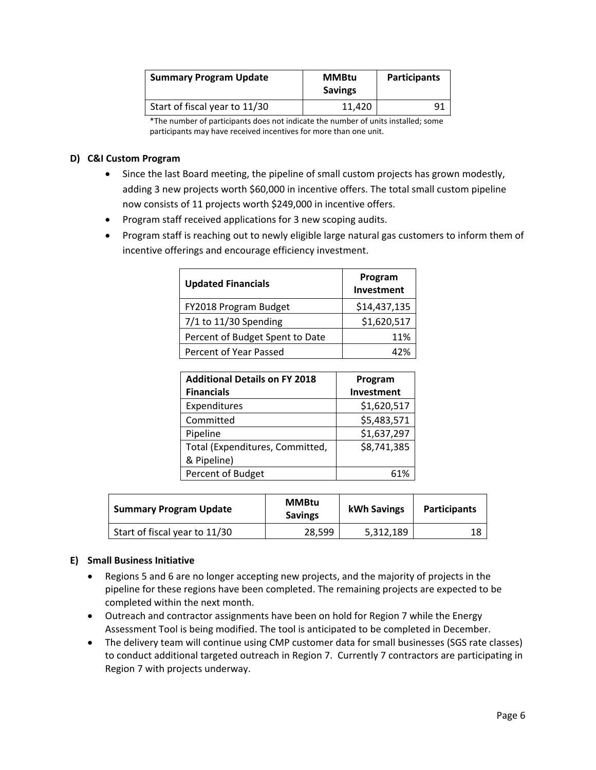| <b>Summary Program Update</b> | <b>MMBtu</b><br><b>Savings</b> | <b>Participants</b> |
|-------------------------------|--------------------------------|---------------------|
| Start of fiscal year to 11/30 | 11.420                         |                     |

\*The number of participants does not indicate the number of units installed; some participants may have received incentives for more than one unit.

### **D) C&I Custom Program**

- Since the last Board meeting, the pipeline of small custom projects has grown modestly, adding 3 new projects worth \$60,000 in incentive offers. The total small custom pipeline now consists of 11 projects worth \$249,000 in incentive offers.
- Program staff received applications for 3 new scoping audits.
- Program staff is reaching out to newly eligible large natural gas customers to inform them of incentive offerings and encourage efficiency investment.

| <b>Updated Financials</b>       | Program<br>Investment |  |
|---------------------------------|-----------------------|--|
| FY2018 Program Budget           | \$14,437,135          |  |
| $7/1$ to 11/30 Spending         | \$1,620,517           |  |
| Percent of Budget Spent to Date | 11%                   |  |
| Percent of Year Passed          | A <sub>2%</sub>       |  |

| <b>Additional Details on FY 2018</b> | Program     |
|--------------------------------------|-------------|
| <b>Financials</b>                    | Investment  |
| Expenditures                         | \$1,620,517 |
| Committed                            | \$5,483,571 |
| Pipeline                             | \$1,637,297 |
| Total (Expenditures, Committed,      | \$8,741,385 |
| & Pipeline)                          |             |
| Percent of Budget                    | 61%         |

| <b>Summary Program Update</b> | <b>MMBtu</b><br><b>Savings</b> | kWh Savings | <b>Participants</b> |
|-------------------------------|--------------------------------|-------------|---------------------|
| Start of fiscal year to 11/30 | 28,599                         | 5,312,189   |                     |

## **E) Small Business Initiative**

- Regions 5 and 6 are no longer accepting new projects, and the majority of projects in the pipeline for these regions have been completed. The remaining projects are expected to be completed within the next month.
- Outreach and contractor assignments have been on hold for Region 7 while the Energy Assessment Tool is being modified. The tool is anticipated to be completed in December.
- The delivery team will continue using CMP customer data for small businesses (SGS rate classes) to conduct additional targeted outreach in Region 7. Currently 7 contractors are participating in Region 7 with projects underway.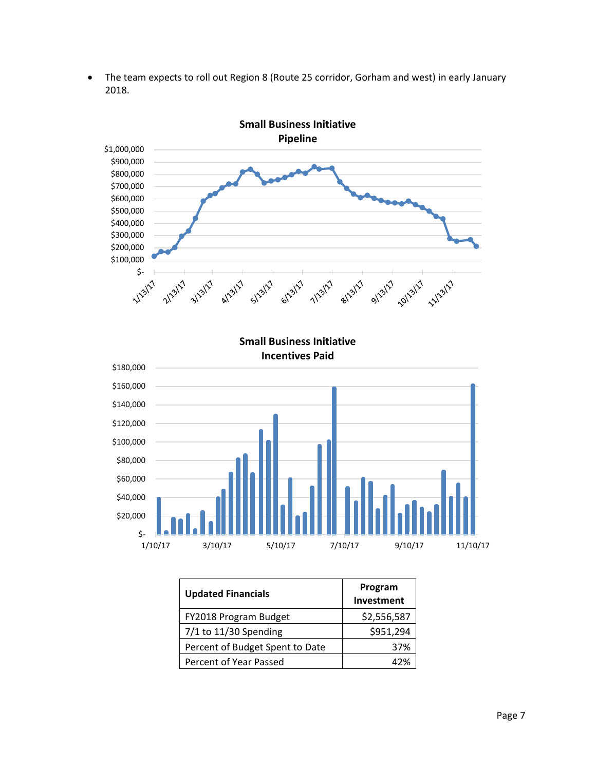• The team expects to roll out Region 8 (Route 25 corridor, Gorham and west) in early January 2018.



| <b>Updated Financials</b>       | Program<br>Investment |
|---------------------------------|-----------------------|
| FY2018 Program Budget           | \$2,556,587           |
| $7/1$ to 11/30 Spending         | \$951,294             |
| Percent of Budget Spent to Date | 37%                   |
| Percent of Year Passed          | 47%                   |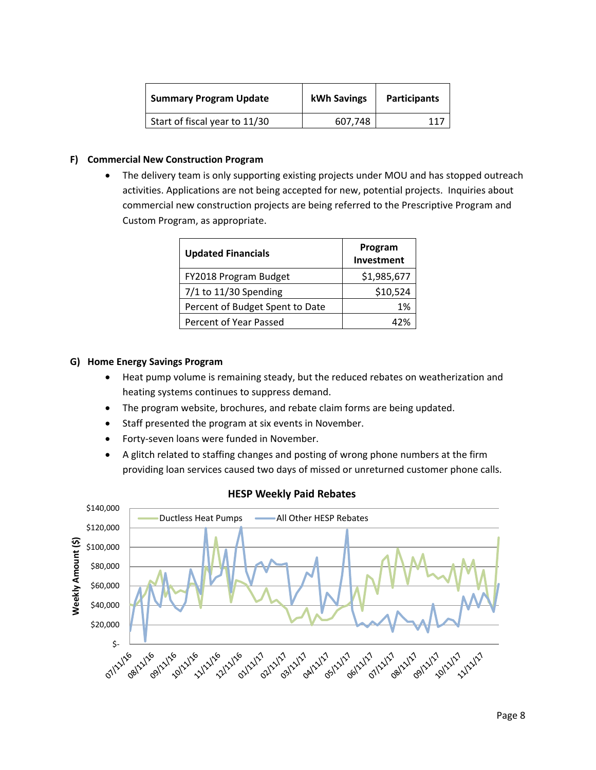| <b>Summary Program Update</b> | kWh Savings | <b>Participants</b> |
|-------------------------------|-------------|---------------------|
| Start of fiscal year to 11/30 | 607.748     |                     |

### **F) Commercial New Construction Program**

The delivery team is only supporting existing projects under MOU and has stopped outreach activities. Applications are not being accepted for new, potential projects. Inquiries about commercial new construction projects are being referred to the Prescriptive Program and Custom Program, as appropriate.

| <b>Updated Financials</b>       | Program<br>Investment |  |
|---------------------------------|-----------------------|--|
| FY2018 Program Budget           | \$1,985,677           |  |
| $7/1$ to 11/30 Spending         | \$10,524              |  |
| Percent of Budget Spent to Date | 1%                    |  |
| Percent of Year Passed          | 47%                   |  |

#### **G) Home Energy Savings Program**

- Heat pump volume is remaining steady, but the reduced rebates on weatherization and heating systems continues to suppress demand.
- The program website, brochures, and rebate claim forms are being updated.
- Staff presented the program at six events in November.
- Forty-seven loans were funded in November.
- A glitch related to staffing changes and posting of wrong phone numbers at the firm providing loan services caused two days of missed or unreturned customer phone calls.



## **HESP Weekly Paid Rebates**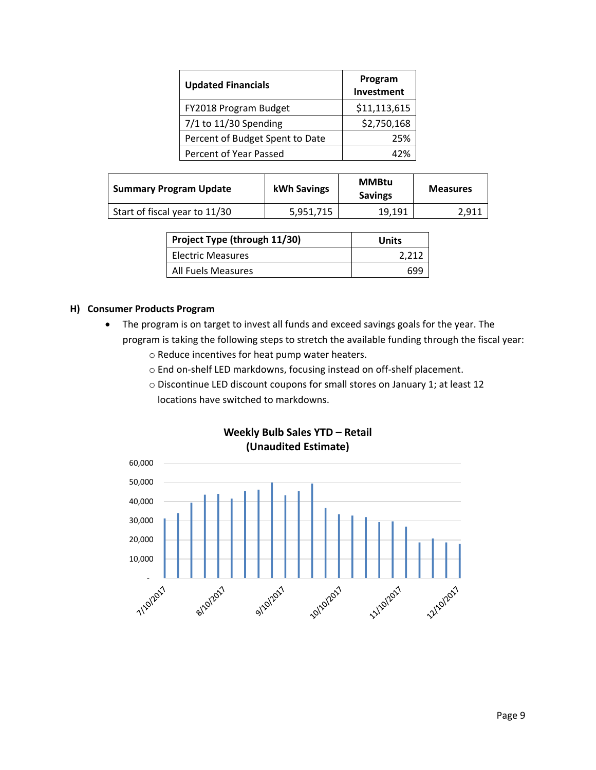| <b>Updated Financials</b>       | Program<br>Investment |  |
|---------------------------------|-----------------------|--|
| FY2018 Program Budget           | \$11,113,615          |  |
| $7/1$ to 11/30 Spending         | \$2,750,168           |  |
| Percent of Budget Spent to Date | 25%                   |  |
| Percent of Year Passed          | 17%                   |  |

| <b>Summary Program Update</b> | kWh Savings | <b>MMBtu</b><br><b>Savings</b> | <b>Measures</b> |
|-------------------------------|-------------|--------------------------------|-----------------|
| Start of fiscal year to 11/30 | 5.951.715   | 19.191                         | 2.911           |

| Project Type (through 11/30) | Units |
|------------------------------|-------|
| <b>Electric Measures</b>     | 2.212 |
| All Fuels Measures           | 690   |

### **H) Consumer Products Program**

- The program is on target to invest all funds and exceed savings goals for the year. The program is taking the following steps to stretch the available funding through the fiscal year:
	- o Reduce incentives for heat pump water heaters.
	- o End on-shelf LED markdowns, focusing instead on off-shelf placement.
	- o Discontinue LED discount coupons for small stores on January 1; at least 12 locations have switched to markdowns.



**Weekly Bulb Sales YTD – Retail (Unaudited Estimate)**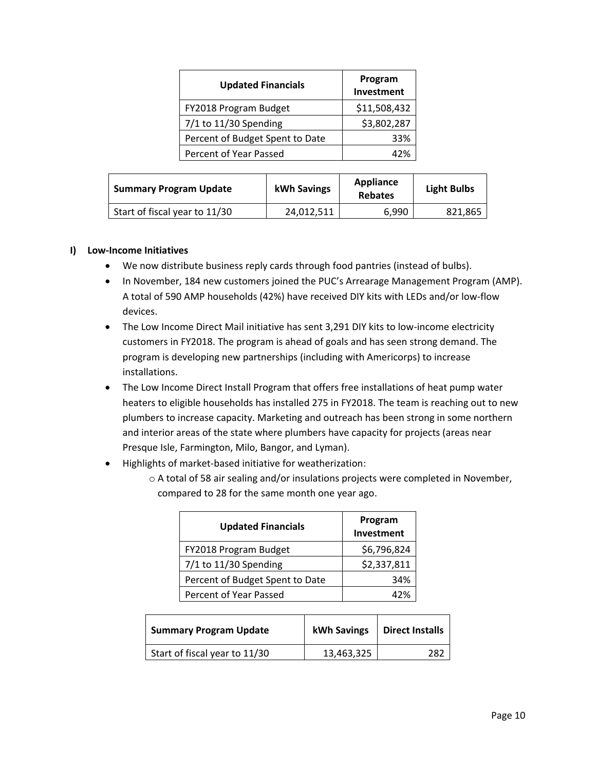| <b>Updated Financials</b>       | Program<br>Investment |  |
|---------------------------------|-----------------------|--|
| FY2018 Program Budget           | \$11,508,432          |  |
| $7/1$ to 11/30 Spending         | \$3,802,287           |  |
| Percent of Budget Spent to Date | 33%                   |  |
| Percent of Year Passed          | 42%                   |  |

| <b>Summary Program Update</b> | kWh Savings | Appliance<br><b>Rebates</b> | <b>Light Bulbs</b> |
|-------------------------------|-------------|-----------------------------|--------------------|
| Start of fiscal year to 11/30 | 24,012,511  | 6,990                       | 821,865            |

### **I) Low-Income Initiatives**

- We now distribute business reply cards through food pantries (instead of bulbs).
- In November, 184 new customers joined the PUC's Arrearage Management Program (AMP). A total of 590 AMP households (42%) have received DIY kits with LEDs and/or low-flow devices.
- The Low Income Direct Mail initiative has sent 3,291 DIY kits to low-income electricity customers in FY2018. The program is ahead of goals and has seen strong demand. The program is developing new partnerships (including with Americorps) to increase installations.
- The Low Income Direct Install Program that offers free installations of heat pump water heaters to eligible households has installed 275 in FY2018. The team is reaching out to new plumbers to increase capacity. Marketing and outreach has been strong in some northern and interior areas of the state where plumbers have capacity for projects (areas near Presque Isle, Farmington, Milo, Bangor, and Lyman).
- Highlights of market-based initiative for weatherization:
	- o A total of 58 air sealing and/or insulations projects were completed in November, compared to 28 for the same month one year ago.

| <b>Updated Financials</b>       | Program<br>Investment |
|---------------------------------|-----------------------|
| FY2018 Program Budget           | \$6,796,824           |
| 7/1 to 11/30 Spending           | \$2,337,811           |
| Percent of Budget Spent to Date | 34%                   |
| Percent of Year Passed          | 47%                   |

| <b>Summary Program Update</b> | kWh Savings | <b>Direct Installs</b> |
|-------------------------------|-------------|------------------------|
| Start of fiscal year to 11/30 | 13,463,325  | วดว                    |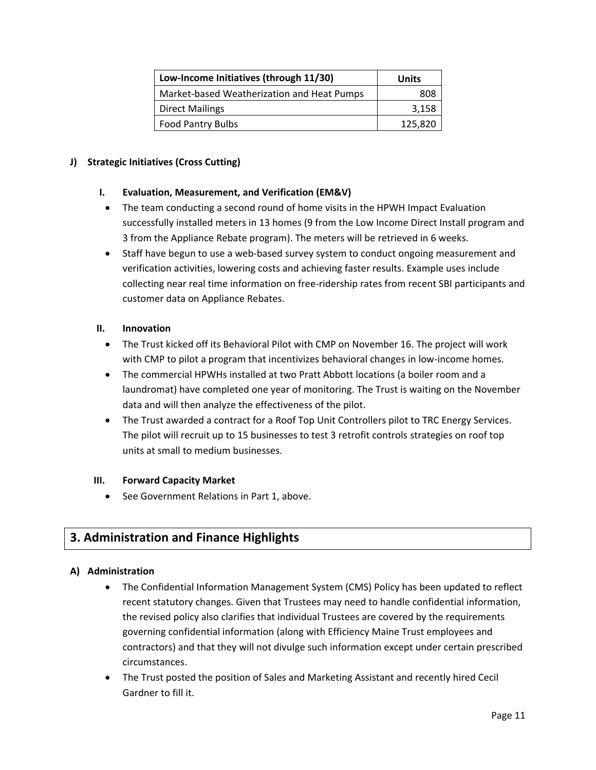| Low-Income Initiatives (through 11/30)     | Units   |
|--------------------------------------------|---------|
| Market-based Weatherization and Heat Pumps | 808     |
| <b>Direct Mailings</b>                     | 3,158   |
| <b>Food Pantry Bulbs</b>                   | 125,820 |

## **J) Strategic Initiatives (Cross Cutting)**

## **I. Evaluation, Measurement, and Verification (EM&V)**

- The team conducting a second round of home visits in the HPWH Impact Evaluation successfully installed meters in 13 homes (9 from the Low Income Direct Install program and 3 from the Appliance Rebate program). The meters will be retrieved in 6 weeks.
- Staff have begun to use a web-based survey system to conduct ongoing measurement and verification activities, lowering costs and achieving faster results. Example uses include collecting near real time information on free-ridership rates from recent SBI participants and customer data on Appliance Rebates.

## **II. Innovation**

- The Trust kicked off its Behavioral Pilot with CMP on November 16. The project will work with CMP to pilot a program that incentivizes behavioral changes in low-income homes.
- The commercial HPWHs installed at two Pratt Abbott locations (a boiler room and a laundromat) have completed one year of monitoring. The Trust is waiting on the November data and will then analyze the effectiveness of the pilot.
- The Trust awarded a contract for a Roof Top Unit Controllers pilot to TRC Energy Services. The pilot will recruit up to 15 businesses to test 3 retrofit controls strategies on roof top units at small to medium businesses.

## **III. Forward Capacity Market**

• See Government Relations in Part 1, above.

# **3. Administration and Finance Highlights**

## **A) Administration**

- The Confidential Information Management System (CMS) Policy has been updated to reflect recent statutory changes. Given that Trustees may need to handle confidential information, the revised policy also clarifies that individual Trustees are covered by the requirements governing confidential information (along with Efficiency Maine Trust employees and contractors) and that they will not divulge such information except under certain prescribed circumstances.
- The Trust posted the position of Sales and Marketing Assistant and recently hired Cecil Gardner to fill it.